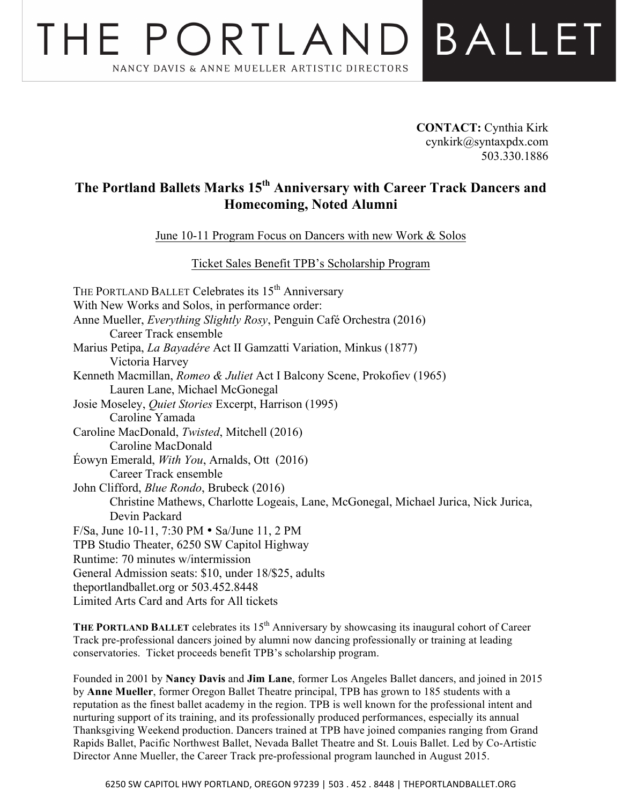## THE PORTLAN BALLET NANCY DAVIS & ANNE MUELLER ARTISTIC DIRECTORS

**CONTACT:** Cynthia Kirk cynkirk@syntaxpdx.com 503.330.1886

## **The Portland Ballets Marks 15th Anniversary with Career Track Dancers and Homecoming, Noted Alumni**

June 10-11 Program Focus on Dancers with new Work & Solos

Ticket Sales Benefit TPB's Scholarship Program

THE PORTLAND BALLET Celebrates its 15<sup>th</sup> Anniversary With New Works and Solos, in performance order: Anne Mueller, *Everything Slightly Rosy*, Penguin Café Orchestra (2016) Career Track ensemble Marius Petipa, *La Bayadére* Act II Gamzatti Variation, Minkus (1877) Victoria Harvey Kenneth Macmillan, *Romeo & Juliet* Act I Balcony Scene, Prokofiev (1965) Lauren Lane, Michael McGonegal Josie Moseley, *Quiet Stories* Excerpt, Harrison (1995) Caroline Yamada Caroline MacDonald, *Twisted*, Mitchell (2016) Caroline MacDonald Éowyn Emerald, *With You*, Arnalds, Ott (2016) Career Track ensemble John Clifford, *Blue Rondo*, Brubeck (2016) Christine Mathews, Charlotte Logeais, Lane, McGonegal, Michael Jurica, Nick Jurica, Devin Packard F/Sa, June 10-11, 7:30 PM • Sa/June 11, 2 PM TPB Studio Theater, 6250 SW Capitol Highway Runtime: 70 minutes w/intermission General Admission seats: \$10, under 18/\$25, adults theportlandballet.org or 503.452.8448 Limited Arts Card and Arts for All tickets

**THE PORTLAND BALLET** celebrates its 15<sup>th</sup> Anniversary by showcasing its inaugural cohort of Career Track pre-professional dancers joined by alumni now dancing professionally or training at leading conservatories. Ticket proceeds benefit TPB's scholarship program.

Founded in 2001 by **Nancy Davis** and **Jim Lane**, former Los Angeles Ballet dancers, and joined in 2015 by **Anne Mueller**, former Oregon Ballet Theatre principal, TPB has grown to 185 students with a reputation as the finest ballet academy in the region. TPB is well known for the professional intent and nurturing support of its training, and its professionally produced performances, especially its annual Thanksgiving Weekend production. Dancers trained at TPB have joined companies ranging from Grand Rapids Ballet, Pacific Northwest Ballet, Nevada Ballet Theatre and St. Louis Ballet. Led by Co-Artistic Director Anne Mueller, the Career Track pre-professional program launched in August 2015.